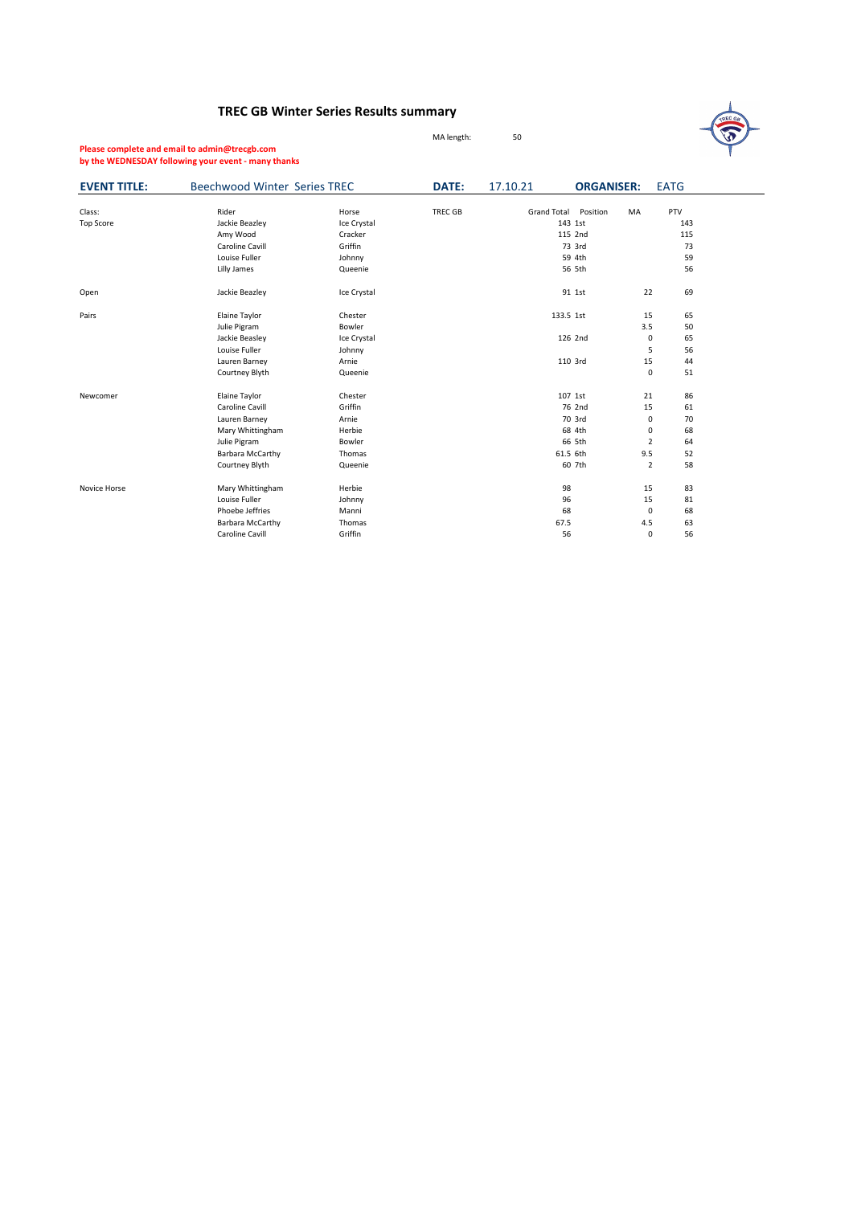## **TREC GB Winter Series Results summary**

MA length: 50



**Please complete and email to admin@trecgb.com by the WEDNESDAY following your event - many thanks**

| <b>EVENT TITLE:</b> | <b>Beechwood Winter Series TREC</b> |             | DATE:          | 17.10.21           | <b>ORGANISER:</b> | <b>EATG</b>          |  |
|---------------------|-------------------------------------|-------------|----------------|--------------------|-------------------|----------------------|--|
| Class:              | Rider                               | Horse       | <b>TREC GB</b> | <b>Grand Total</b> | Position<br>MA    | PTV                  |  |
| <b>Top Score</b>    | Jackie Beazley                      | Ice Crystal |                |                    | 143 1st           | 143                  |  |
|                     | Amy Wood                            | Cracker     |                |                    | 115 2nd           | 115                  |  |
|                     | Caroline Cavill                     | Griffin     |                |                    | 73 3rd            | 73                   |  |
|                     | Louise Fuller                       | Johnny      |                |                    | 59 4th            | 59                   |  |
|                     | Lilly James                         | Queenie     |                |                    | 56 5th            | 56                   |  |
| Open                | Jackie Beazley                      | Ice Crystal |                |                    | 91 1st            | 69<br>22             |  |
| Pairs               | Elaine Taylor                       | Chester     |                | 133.5 1st          |                   | 15<br>65             |  |
|                     | Julie Pigram                        | Bowler      |                |                    |                   | 3.5<br>50            |  |
|                     | Jackie Beasley                      | Ice Crystal |                |                    | 126 2nd           | 65<br>0              |  |
|                     | Louise Fuller                       | Johnny      |                |                    |                   | 56<br>5              |  |
|                     | Lauren Barney                       | Arnie       |                |                    | 110 3rd           | 15<br>44             |  |
|                     | Courtney Blyth                      | Queenie     |                |                    |                   | $\mathsf 0$<br>51    |  |
| Newcomer            | Elaine Taylor                       | Chester     |                |                    | 107 1st           | 86<br>21             |  |
|                     | Caroline Cavill                     | Griffin     |                |                    | 76 2nd            | 15<br>61             |  |
|                     | Lauren Barney                       | Arnie       |                |                    | 70 3rd            | $\mathbf 0$<br>70    |  |
|                     | Mary Whittingham                    | Herbie      |                |                    | 68 4th            | 68<br>0              |  |
|                     | Julie Pigram                        | Bowler      |                |                    | 66 5th            | $\overline{2}$<br>64 |  |
|                     | Barbara McCarthy                    | Thomas      |                | 61.5 6th           |                   | 9.5<br>52            |  |
|                     | Courtney Blyth                      | Queenie     |                |                    | 60 7th            | $\overline{2}$<br>58 |  |
| Novice Horse        | Mary Whittingham                    | Herbie      |                | 98                 |                   | 83<br>15             |  |
|                     | Louise Fuller                       | Johnny      |                | 96                 |                   | 15<br>81             |  |
|                     | Phoebe Jeffries                     | Manni       |                | 68                 |                   | $\mathbf 0$<br>68    |  |
|                     | Barbara McCarthy                    | Thomas      |                | 67.5               |                   | 4.5<br>63            |  |
|                     | Caroline Cavill                     | Griffin     |                | 56                 |                   | 56<br>$\mathbf 0$    |  |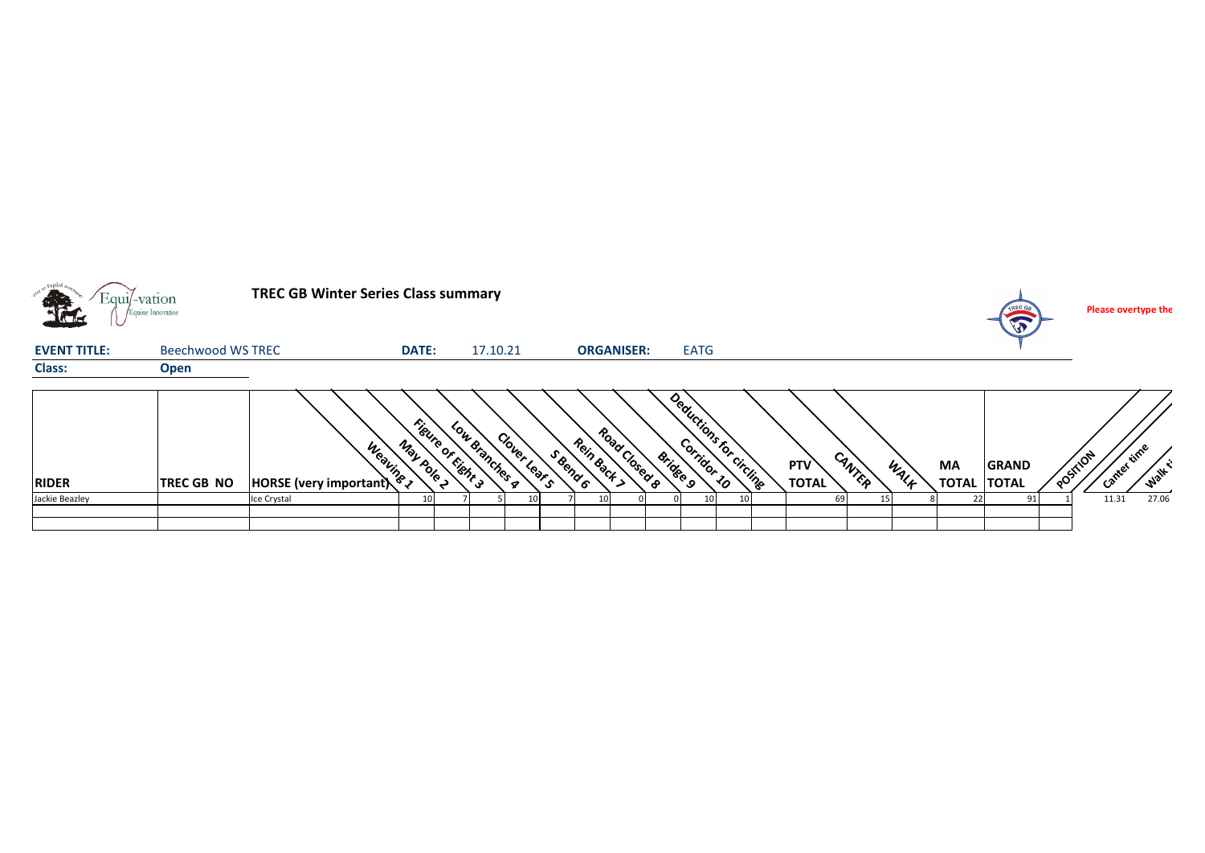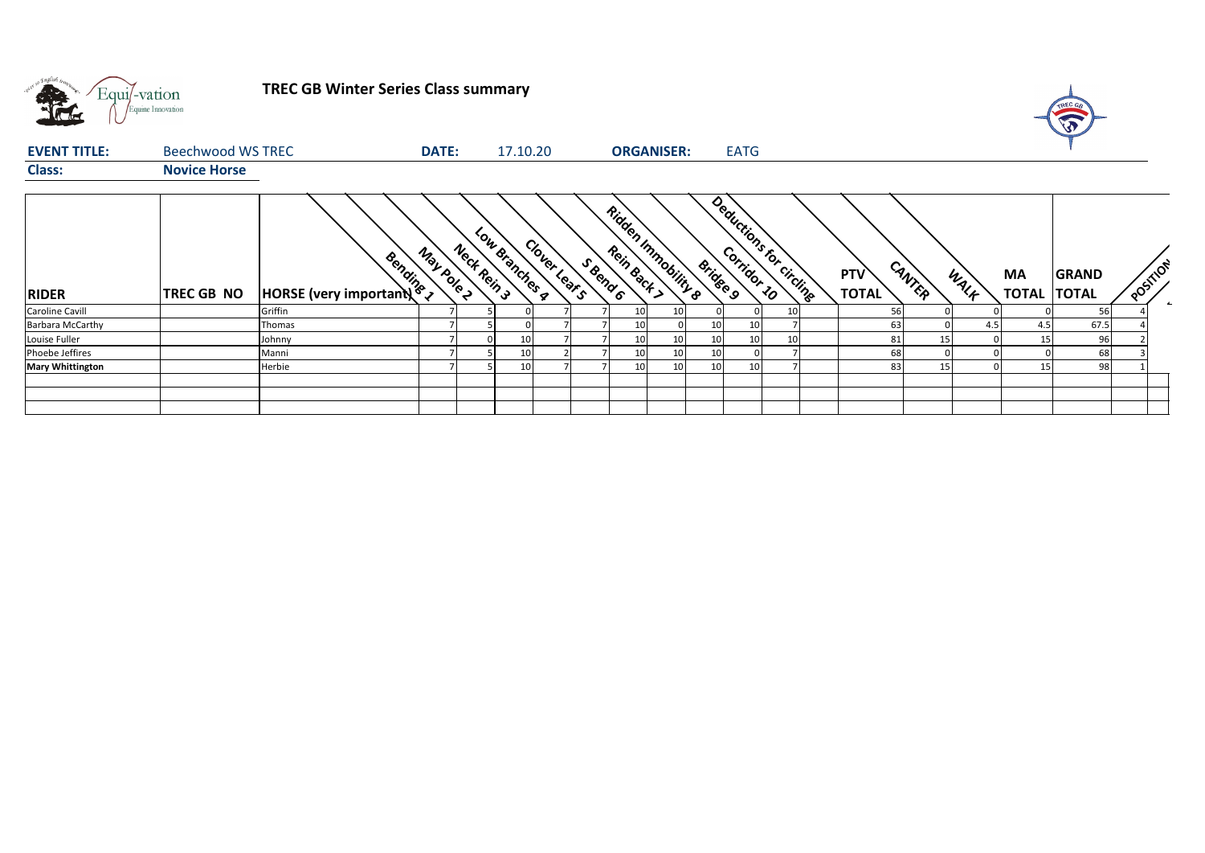

**TREC GB Winter Series Class summary**



| <b>EVENT TITLE:</b>     | Beechwood WS TREC   |                                           | DATE:      |             | 17.10.20        |              |          | <b>ORGANISER:</b>   |    |                 | <b>EATG</b>             |                     |        |      |                                 |              |          |
|-------------------------|---------------------|-------------------------------------------|------------|-------------|-----------------|--------------|----------|---------------------|----|-----------------|-------------------------|---------------------|--------|------|---------------------------------|--------------|----------|
| <b>Class:</b>           | <b>Novice Horse</b> |                                           |            |             |                 |              |          |                     |    |                 |                         |                     |        |      |                                 |              |          |
| <b>RIDER</b>            | TREC GB NO          | Bendines<br><b>HORSE</b> (very important) | May pole 2 | Neck Rein 3 | Low Branches a  | Clover Lears | S Bend 6 | Ridden Immobility & |    | <b>Bridge 9</b> | Deductions for circuits | PTV<br><b>TOTAL</b> | CANTER | WALK | <b>MA</b><br><b>TOTAL TOTAL</b> | <b>GRAND</b> | POSTILON |
| <b>Caroline Cavill</b>  |                     | Griffin                                   |            |             |                 |              |          | 10                  | 10 |                 | 10                      |                     |        |      |                                 | 56           |          |
| <b>Barbara McCarthy</b> |                     | Thomas                                    |            |             |                 |              |          | 10                  |    | 10              | 10                      | 63                  |        | 4.5  | 4.5                             | 67.5         |          |
| Louise Fuller           |                     | Johnny                                    |            |             | 10              |              |          | 10                  | 10 | 10              | 10                      | 81                  | 15     |      |                                 | 96           |          |
| Phoebe Jeffires         |                     | Manni                                     |            |             | 10              |              |          | 10                  | 10 | 10              |                         | 68                  |        |      |                                 | 68           |          |
| <b>Mary Whittington</b> |                     | Herbie                                    |            |             | 10 <sup>1</sup> |              |          | 10                  | 10 | 10              | 10                      | 83                  | 15     |      |                                 | 98           |          |
|                         |                     |                                           |            |             |                 |              |          |                     |    |                 |                         |                     |        |      |                                 |              |          |
|                         |                     |                                           |            |             |                 |              |          |                     |    |                 |                         |                     |        |      |                                 |              |          |
|                         |                     |                                           |            |             |                 |              |          |                     |    |                 |                         |                     |        |      |                                 |              |          |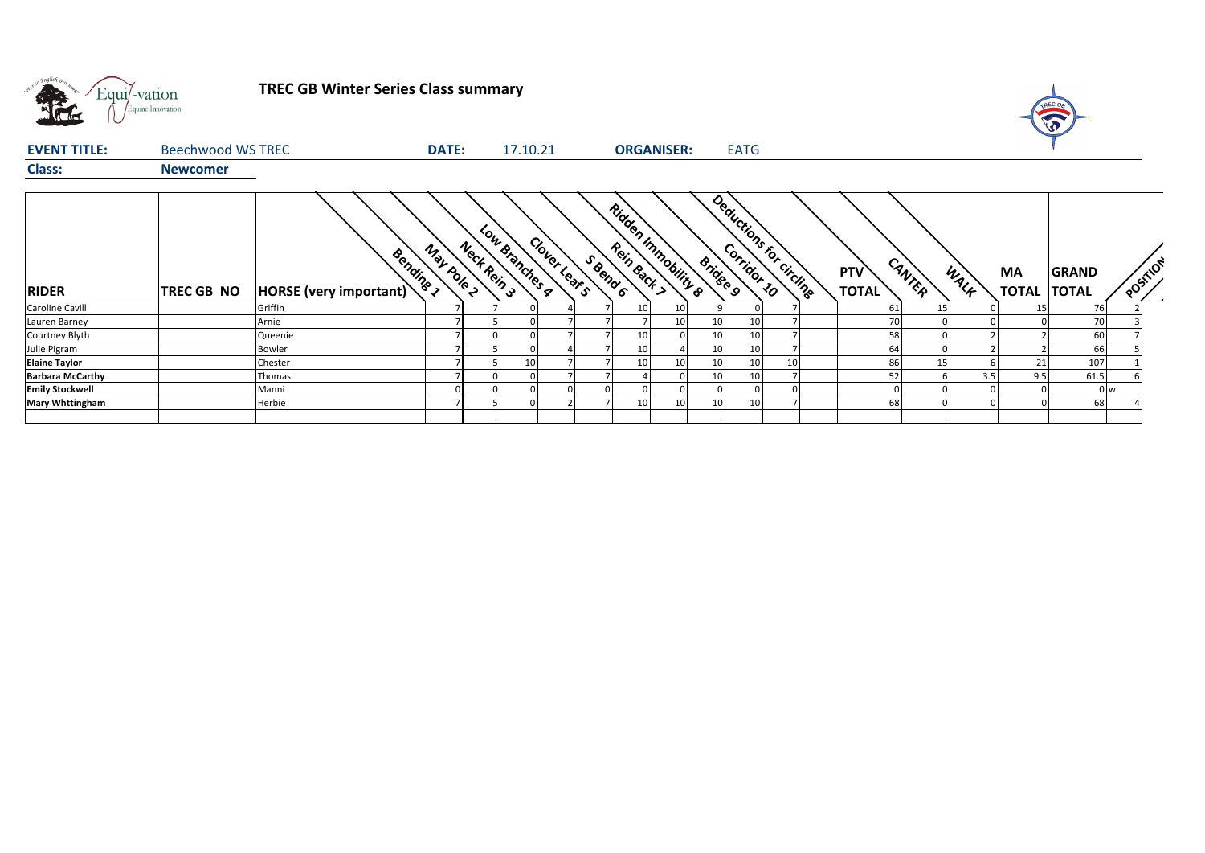

**TREC GB Winter Series Class summary**



| <b>EVENT TITLE:</b>     | Beechwood WS TREC |                                            | <b>DATE:</b> | 17.10.21                      |              |          |           | <b>ORGANISER:</b>              |                 | <b>EATG</b>             |    |                            |        |      |                           |                              |                          |
|-------------------------|-------------------|--------------------------------------------|--------------|-------------------------------|--------------|----------|-----------|--------------------------------|-----------------|-------------------------|----|----------------------------|--------|------|---------------------------|------------------------------|--------------------------|
| <b>Class:</b>           | <b>Newcomer</b>   |                                            |              |                               |              |          |           |                                |                 |                         |    |                            |        |      |                           |                              |                          |
| <b>RIDER</b>            | <b>TREC GB NO</b> | Bending 1<br><b>HORSE</b> (very important) | May pole 2   | Low Branches a<br>Neck Rein 3 | Clover Lears | S Bend 6 | Rein Back | <b>Ridden Immobility &amp;</b> | <b>Bridge 9</b> | Deductions for circuite |    | <b>PTV</b><br><b>TOTAL</b> | CANTER | WALK | <b>MA</b><br><b>TOTAL</b> | <b>GRAND</b><br><b>TOTAL</b> | POSTILON                 |
| Caroline Cavill         |                   | Griffin                                    |              |                               |              |          | 10        | 10                             |                 |                         |    | 61                         | 15     |      | 15                        | 76                           | $\overline{\phantom{a}}$ |
| Lauren Barney           |                   | Arnie                                      |              |                               |              |          |           | 10                             | 10              | 10                      |    | 70                         |        |      |                           | 70                           |                          |
| Courtney Blyth          |                   | Queenie                                    |              |                               |              |          | 10        |                                | 10              | 10                      |    | 58                         |        |      |                           | 60                           |                          |
| Julie Pigram            |                   | Bowler                                     |              |                               |              |          | 10        |                                | 10 <sub>1</sub> | 10 <sup>1</sup>         |    | 64                         |        |      |                           | 66                           |                          |
| <b>Elaine Taylor</b>    |                   | Chester                                    |              | 10                            |              |          | 10        | 10                             | 10              | 10 <sup>1</sup>         | 10 | 86                         | 15     |      | 21                        | 107                          |                          |
| <b>Barbara McCarthy</b> |                   | Thomas                                     |              |                               |              |          |           |                                | 10              | 10                      |    | 52                         |        | 3.5  | 9.5                       | 61.5                         |                          |
| <b>Emily Stockwell</b>  |                   | Manni                                      |              |                               |              |          |           |                                |                 |                         |    |                            |        |      |                           |                              | 0 <sub>w</sub>           |
| <b>Mary Whttingham</b>  |                   | Herbie                                     |              |                               |              |          | 10        |                                | 10              |                         |    | 68                         |        |      |                           | 68                           |                          |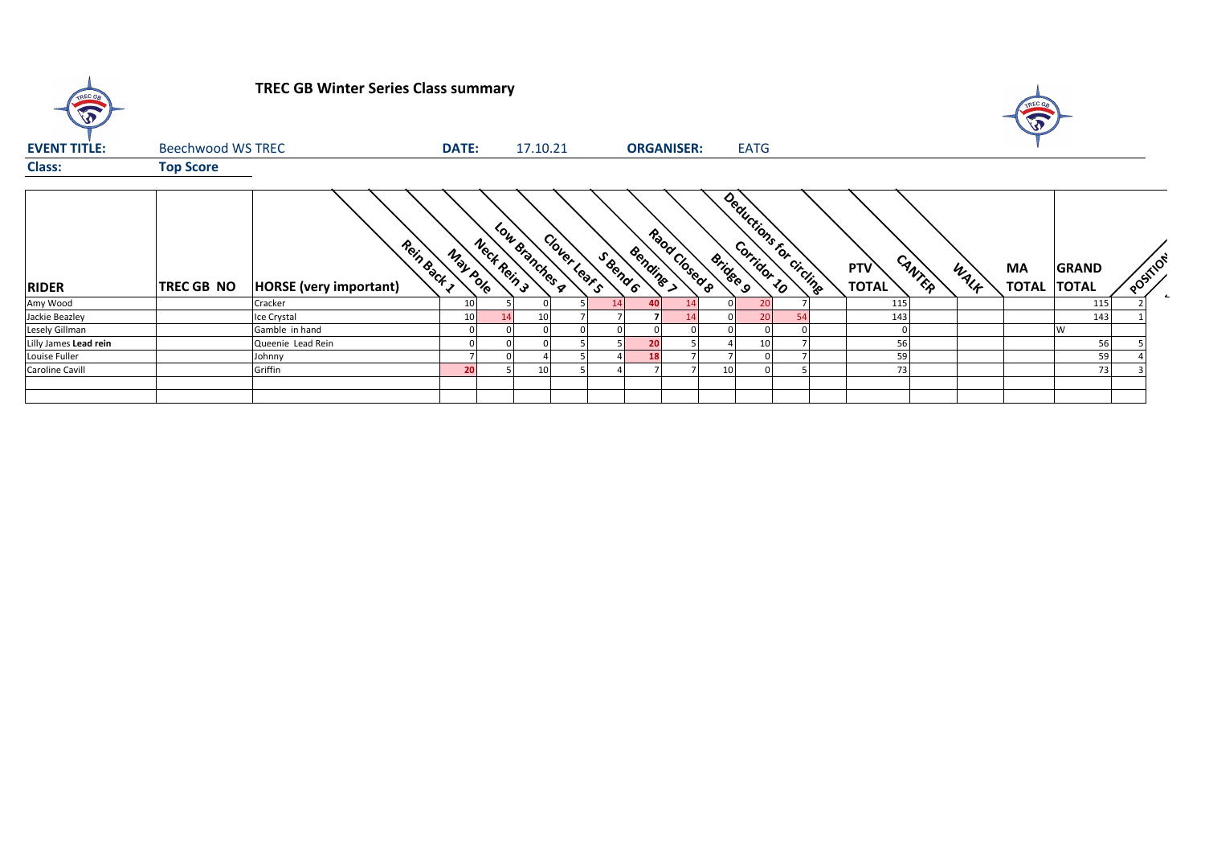| $\sqrt{3}$            |                   | <b>TREC GB Winter Series Class summary</b>   |              |                               |              |          |                   |               |                 |                          |    |                     |        |      | TREC OF            |                              |          |                  |
|-----------------------|-------------------|----------------------------------------------|--------------|-------------------------------|--------------|----------|-------------------|---------------|-----------------|--------------------------|----|---------------------|--------|------|--------------------|------------------------------|----------|------------------|
| <b>EVENT TITLE:</b>   | Beechwood WS TREC |                                              | <b>DATE:</b> | 17.10.21                      |              |          | <b>ORGANISER:</b> |               |                 | <b>EATG</b>              |    |                     |        |      |                    |                              |          |                  |
| <b>Class:</b>         | <b>Top Score</b>  |                                              |              |                               |              |          |                   |               |                 |                          |    |                     |        |      |                    |                              |          |                  |
| <b>RIDER</b>          | <b>TREC GB NO</b> | Rein Back 1<br><b>HORSE</b> (very important) | May pole     | Low Branches a<br>Nect Rein 3 | Cloyer Lears | S Bend 6 | Bendine >         | Raod Closed R | <b>Bridge 9</b> | Deductions for circlinge |    | PTV<br><b>TOTAL</b> | CANTER | WALK | MA<br><b>TOTAL</b> | <b>GRAND</b><br><b>TOTAL</b> | POSTILON | $\blacktriangle$ |
| Amy Wood              |                   | Cracker                                      | 10           |                               |              | 14       | 40                |               |                 | 20                       |    | 115                 |        |      |                    | 115                          |          |                  |
| Jackie Beazley        |                   | Ice Crystal                                  | 10           | 10                            |              |          |                   |               |                 | 20                       | 54 | 143                 |        |      |                    | 143                          |          |                  |
| Lesely Gillman        |                   | Gamble in hand                               |              |                               |              |          |                   |               |                 |                          |    |                     |        |      |                    | <b>W</b>                     |          |                  |
| Lilly James Lead rein |                   | Queenie Lead Rein                            |              |                               |              |          | 20                |               |                 | 10                       |    | 56                  |        |      |                    | 56                           |          |                  |
| Louise Fuller         |                   | Johnny                                       |              |                               |              |          | 18                |               |                 |                          |    | 59                  |        |      |                    | 59                           |          |                  |
| Caroline Cavill       |                   | Griffin                                      | 20           | 10                            |              |          |                   |               |                 |                          |    | 73                  |        |      |                    | 73                           |          |                  |
|                       |                   |                                              |              |                               |              |          |                   |               |                 |                          |    |                     |        |      |                    |                              |          |                  |